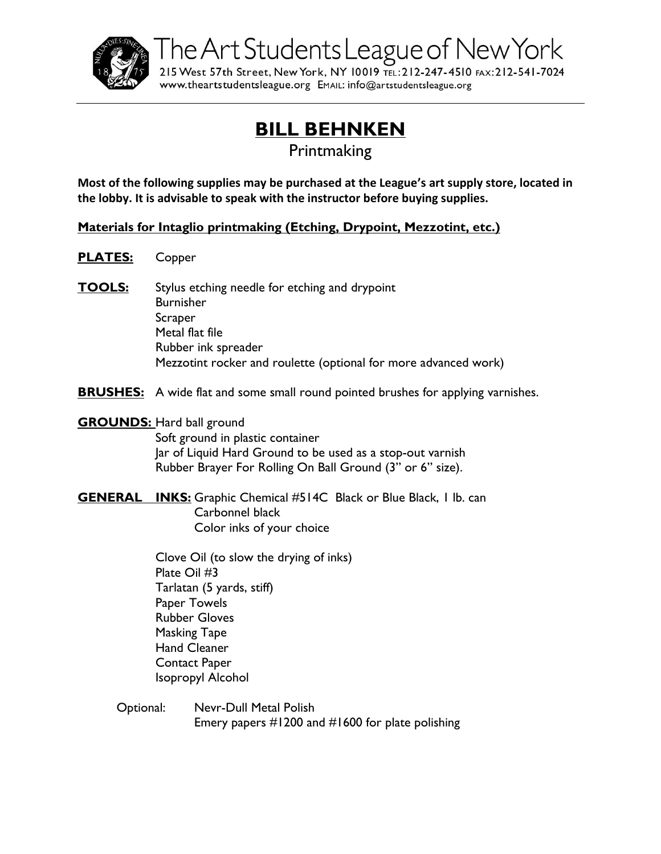

The Art Students League of New York

215 West 57th Street, New York, NY 10019 TEL: 212-247-4510 FAX: 212-541-7024 www.theartstudentsleague.org EMAIL: info@artstudentsleague.org

## **BILL BEHNKEN**

Printmaking

**Most of the following supplies may be purchased at the League's art supply store, located in the lobby. It is advisable to speak with the instructor before buying supplies.**

**Materials for Intaglio printmaking (Etching, Drypoint, Mezzotint, etc.)**

- **PLATES:** Copper
- **TOOLS:** Stylus etching needle for etching and drypoint Burnisher **Scraper** Metal flat file Rubber ink spreader Mezzotint rocker and roulette (optional for more advanced work)

**BRUSHES:** A wide flat and some small round pointed brushes for applying varnishes.

**GROUNDS:** Hard ball ground Soft ground in plastic container Jar of Liquid Hard Ground to be used as a stop-out varnish Rubber Brayer For Rolling On Ball Ground (3" or 6" size).

**GENERAL INKS:** Graphic Chemical #514C Black or Blue Black, 1 lb. can Carbonnel black Color inks of your choice

> Clove Oil (to slow the drying of inks) Plate Oil #3 Tarlatan (5 yards, stiff) Paper Towels Rubber Gloves Masking Tape Hand Cleaner Contact Paper Isopropyl Alcohol

Optional: Nevr-Dull Metal Polish Emery papers #1200 and #1600 for plate polishing